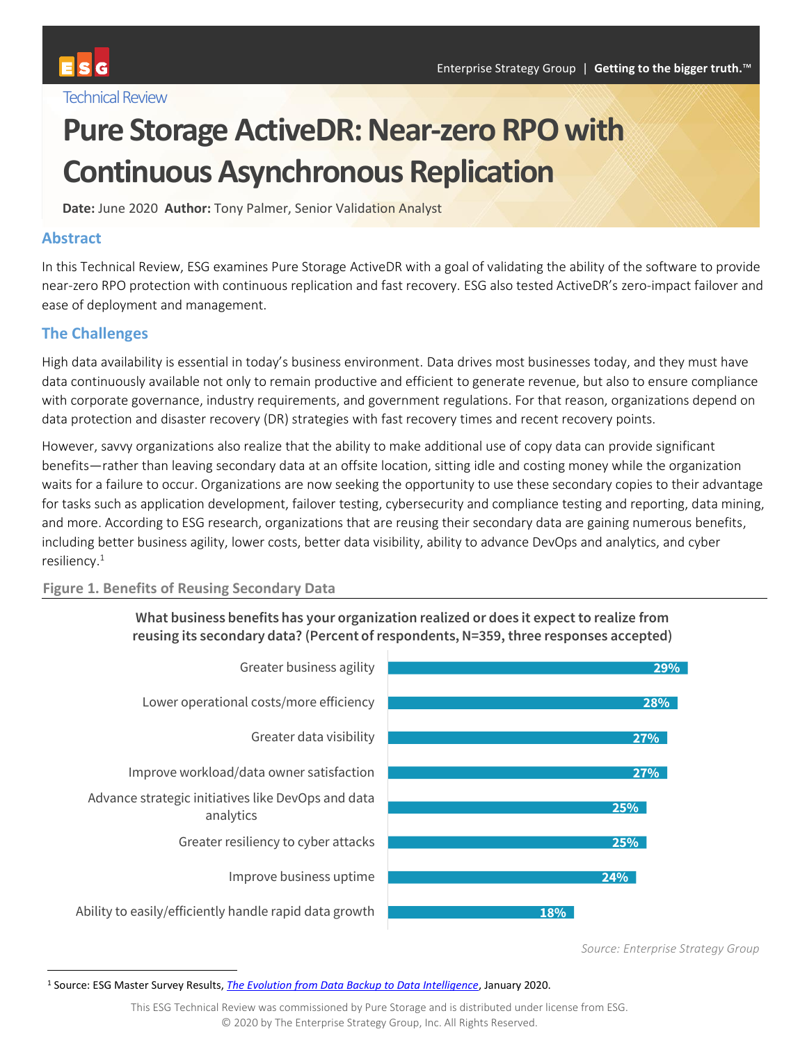# **Pure Storage ActiveDR: Near-zero RPO with Continuous Asynchronous Replication**

**Date:** June 2020 **Author:** Tony Palmer, Senior Validation Analyst

### **Abstract**

In this Technical Review, ESG examines Pure Storage ActiveDR with a goal of validating the ability of the software to provide near-zero RPO protection with continuous replication and fast recovery. ESG also tested ActiveDR's zero-impact failover and ease of deployment and management.

# **The Challenges**

High data availability is essential in today's business environment. Data drives most businesses today, and they must have data continuously available not only to remain productive and efficient to generate revenue, but also to ensure compliance with corporate governance, industry requirements, and government regulations. For that reason, organizations depend on data protection and disaster recovery (DR) strategies with fast recovery times and recent recovery points.

However, savvy organizations also realize that the ability to make additional use of copy data can provide significant benefits—rather than leaving secondary data at an offsite location, sitting idle and costing money while the organization waits for a failure to occur. Organizations are now seeking the opportunity to use these secondary copies to their advantage for tasks such as application development, failover testing, cybersecurity and compliance testing and reporting, data mining, and more. According to ESG research, organizations that are reusing their secondary data are gaining numerous benefits, including better business agility, lower costs, better data visibility, ability to advance DevOps and analytics, and cyber resiliency.<sup>1</sup>

#### **Figure 1. Benefits of Reusing Secondary Data**





*Source: Enterprise Strategy Group*

<sup>1</sup> Source: ESG Master Survey Results, *[The Evolution from Data Backup to Data Intelligence](https://research.esg-global.com/reportaction/DataBackupToDataIntelligenceMSR2020/Toc)*, January 2020.

This ESG Technical Review was commissioned by Pure Storage and is distributed under license from ESG. © 2020 by The Enterprise Strategy Group, Inc. All Rights Reserved.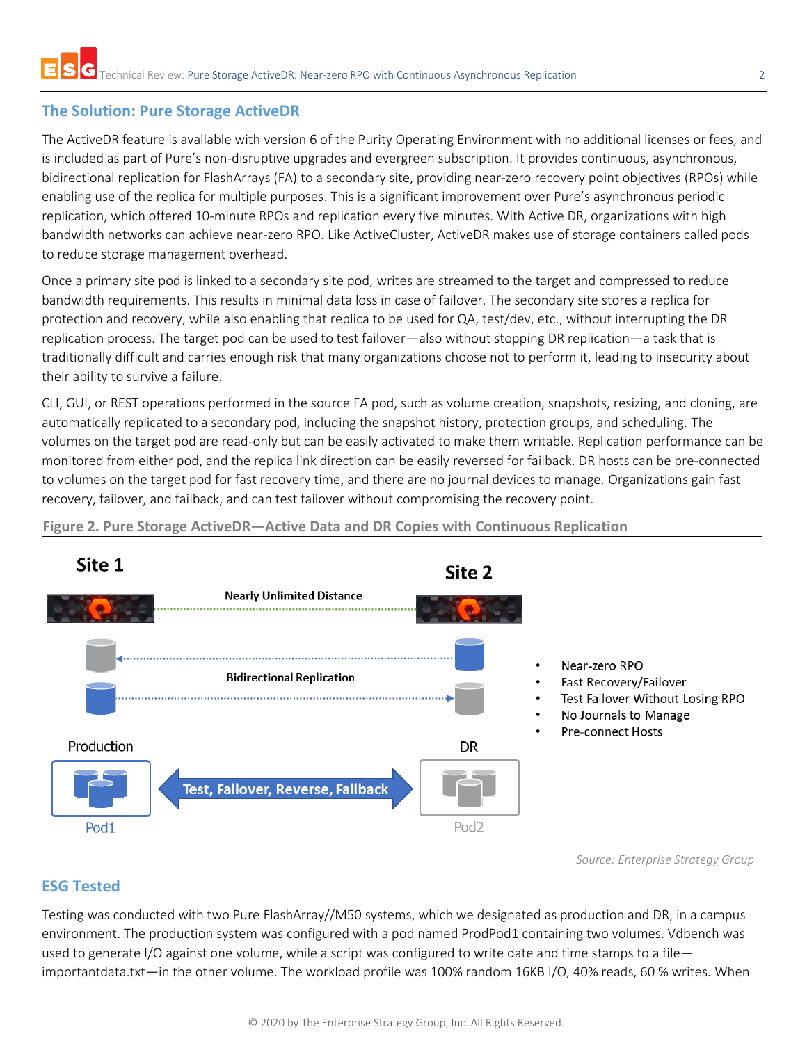# **The Solution: Pure Storage ActiveDR**

The ActiveDR feature is available with version 6 of the Purity Operating Environment with no additional licenses or fees, and is included as part of Pure's non-disruptive upgrades and evergreen subscription. It provides continuous, asynchronous, bidirectional replication for FlashArrays (FA) to a secondary site, providing near-zero recovery point objectives (RPOs) while enabling use of the replica for multiple purposes. This is a significant improvement over Pure's asynchronous periodic replication, which offered 10-minute RPOs and replication every five minutes. With Active DR, organizations with high bandwidth networks can achieve near-zero RPO. Like ActiveCluster, ActiveDR makes use of storage containers called pods to reduce storage management overhead.

Once a primary site pod is linked to a secondary site pod, writes are streamed to the target and compressed to reduce bandwidth requirements. This results in minimal data loss in case of failover. The secondary site stores a replica for protection and recovery, while also enabling that replica to be used for QA, test/dev, etc., without interrupting the DR replication process. The target pod can be used to test failover—also without stopping DR replication—a task that is traditionally difficult and carries enough risk that many organizations choose not to perform it, leading to insecurity about their ability to survive a failure.

CLI, GUI, or REST operations performed in the source FA pod, such as volume creation, snapshots, resizing, and cloning, are automatically replicated to a secondary pod, including the snapshot history, protection groups, and scheduling. The volumes on the target pod are read-only but can be easily activated to make them writable. Replication performance can be monitored from either pod, and the replica link direction can be easily reversed for failback. DR hosts can be pre-connected to volumes on the target pod for fast recovery time, and there are no journal devices to manage. Organizations gain fast recovery, failover, and failback, and can test failover without compromising the recovery point.

**Figure 2. Pure Storage ActiveDR—Active Data and DR Copies with Continuous Replication**



*Source: Enterprise Strategy Group*

# **ESG Tested**

Testing was conducted with two Pure FlashArray//M50 systems, which we designated as production and DR, in a campus environment. The production system was configured with a pod named ProdPod1 containing two volumes. Vdbench was used to generate I/O against one volume, while a script was configured to write date and time stamps to a file importantdata.txt—in the other volume. The workload profile was 100% random 16KB I/O, 40% reads, 60 % writes. When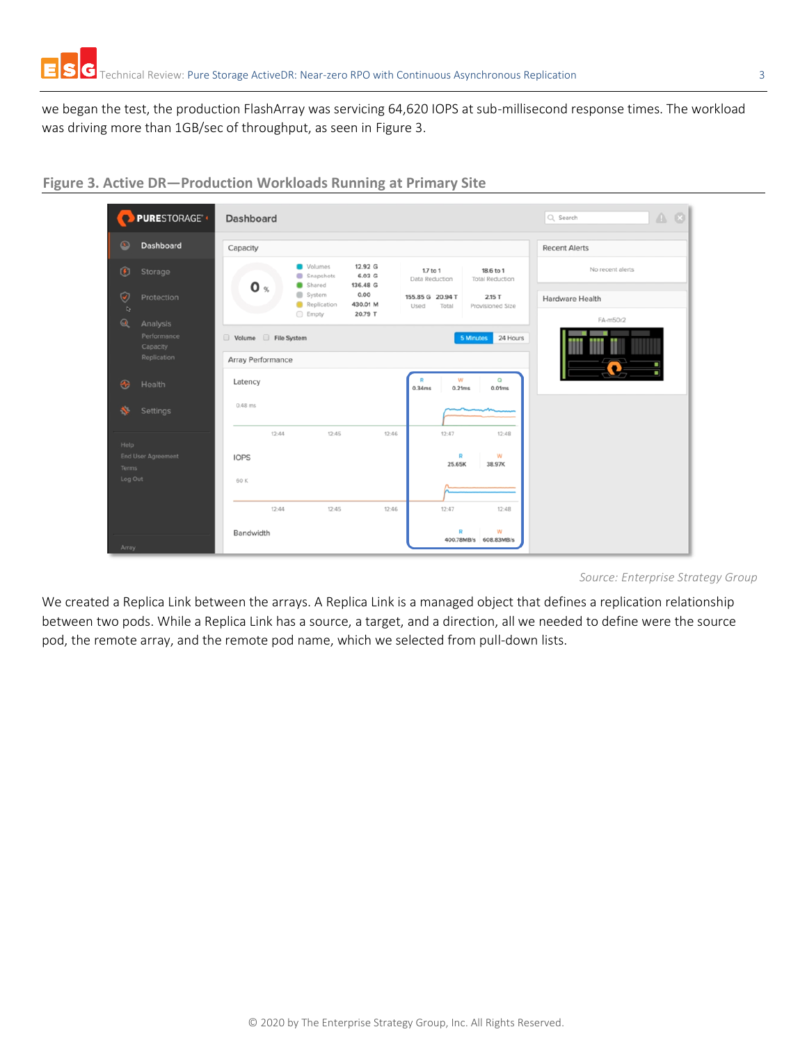we began the test, the production FlashArray was servicing 64,620 IOPS at sub-millisecond response times. The workload was driving more than 1GB/sec of throughput, as seen in [Figure 3.](#page-2-0)



<span id="page-2-0"></span>**Figure 3. Active DR—Production Workloads Running at Primary Site**

*Source: Enterprise Strategy Group*

We created a Replica Link between the arrays. A Replica Link is a managed object that defines a replication relationship between two pods. While a Replica Link has a source, a target, and a direction, all we needed to define were the source pod, the remote array, and the remote pod name, which we selected from pull-down lists.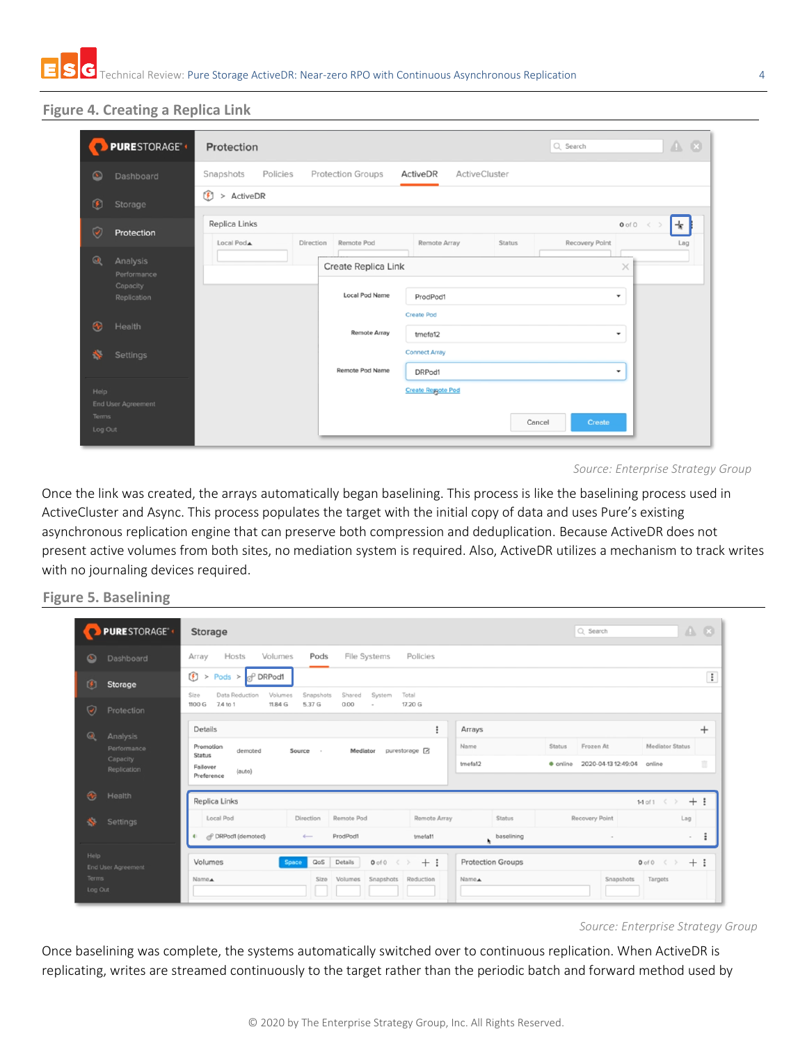#### **Figure 4. Creating a Replica Link**

|                             | <b>PURESTORAGE<sup>®</sup></b>                     | $A$ $B$<br>Q Search<br>Protection                                                                                                                           |
|-----------------------------|----------------------------------------------------|-------------------------------------------------------------------------------------------------------------------------------------------------------------|
| $\circ$                     | Dashboard                                          | Snapshots<br>Policies<br><b>Protection Groups</b><br>ActiveDR<br><b>ActiveCluster</b>                                                                       |
| $\left  \mathbf{f} \right $ | Storage                                            | $\circledR$<br>> ActiveDR                                                                                                                                   |
| $\breve{\phantom{a}}$       | Protection                                         | Replica Links<br>$\rightarrow$<br>$0$ of $0 \leq$<br><b>Recovery Point</b><br>Remote Pod<br>Remote Array<br>Local PodA<br>Direction<br><b>Status</b><br>Lag |
| $\omega$                    | Analysis<br>Performance<br>Capacity<br>Replication | Create Replica Link<br>$\times$<br><b>Local Pod Name</b><br>ProdPod1<br>$\checkmark$                                                                        |
| $\triangleleft$<br>۸.       | Health<br>Settings                                 | <b>Create Pod</b><br><b>Remote Array</b><br>tmefa12<br>$\overline{\phantom{a}}$<br><b>Connect Array</b>                                                     |
|                             |                                                    | Remote Pod Name<br>DRPod1<br>۰                                                                                                                              |
| Help<br>Terms<br>Log Out    | End User Agreement                                 | <b>Create Regote Pod</b><br>Create<br>Cancel                                                                                                                |

Once the link was created, the arrays automatically began baselining. This process is like the baselining process used in ActiveCluster and Async. This process populates the target with the initial copy of data and uses Pure's existing asynchronous replication engine that can preserve both compression and deduplication. Because ActiveDR does not present active volumes from both sites, no mediation system is required. Also, ActiveDR utilizes a mechanism to track writes with no journaling devices required.

#### **Figure 5. Baselining**

| <b>PURESTORAGE®</b><br>$\bullet$ |                         | $A$ $\Theta$<br>Q Search<br><b>Storage</b>                                                                                                             |  |  |  |  |  |
|----------------------------------|-------------------------|--------------------------------------------------------------------------------------------------------------------------------------------------------|--|--|--|--|--|
| ◙                                | Dashboard               | Volumes<br>Pods<br>File Systems<br>Policies<br>Array<br>Hosts                                                                                          |  |  |  |  |  |
| $\circledR$                      | Storage                 | $\colon$<br>$^{\circ}$<br>$>$ Pods $>$ $\sigma$ DRPod1<br>Data Reduction<br>Volumes<br>Snapshots<br>Shared<br>Total<br>Size<br>System                  |  |  |  |  |  |
| $\blacktriangledown$             | Protection              | 7.4 to 1<br>11.84 G<br>5.37 G<br>17.20 G<br>1100 G<br>0.00                                                                                             |  |  |  |  |  |
| $\omega$                         | Analysis                | $^{+}$<br>Details<br>÷<br>Arrays                                                                                                                       |  |  |  |  |  |
|                                  | Performance             | Frozen At<br><b>Mediator Status</b><br><b>Status</b><br>Name<br>Promotion<br>purestorage Z<br>demoted<br>Source<br>Mediator<br>$\sim$<br><b>Status</b> |  |  |  |  |  |
|                                  | Capacity<br>Replication | 面<br>tmefa12<br>2020-04-13 12:49:04<br>· online<br>online<br>Failover<br>(auto)<br>Preference                                                          |  |  |  |  |  |
| $\bullet$                        | Health                  | Replica Links<br>$+$ :<br>1-1 of 1 $\langle$ $\rangle$                                                                                                 |  |  |  |  |  |
| ×.                               | Settings                | Local Pod<br>Direction<br>Remote Pod<br>Remote Array<br><b>Status</b><br>Recovery Point<br>Lag                                                         |  |  |  |  |  |
|                                  |                         | $\ddot{z}$<br>of DRPod1 (demoted)<br>ProdPod1<br>۰<br>$\leftarrow$<br>tmefa11<br>baselining<br>$\sim$<br>$\sim$<br>k.                                  |  |  |  |  |  |
| Help                             |                         | <b>Protection Groups</b><br>Volumes<br>QoS<br>Details<br>$+$ :<br>$0$ of $0 \leqslant$ $>$<br>$+$ :<br>$0$ of $0 \leqslant$ $>$<br>Space               |  |  |  |  |  |
| <b>Terms</b>                     | End User Agreement      | Snapshots Reduction<br>Name.<br>Snapshots<br>Targets<br>Name.<br>Size<br>Volumes                                                                       |  |  |  |  |  |
| Log Out                          |                         |                                                                                                                                                        |  |  |  |  |  |

*Source: Enterprise Strategy Group*

Once baselining was complete, the systems automatically switched over to continuous replication. When ActiveDR is replicating, writes are streamed continuously to the target rather than the periodic batch and forward method used by

*Source: Enterprise Strategy Group*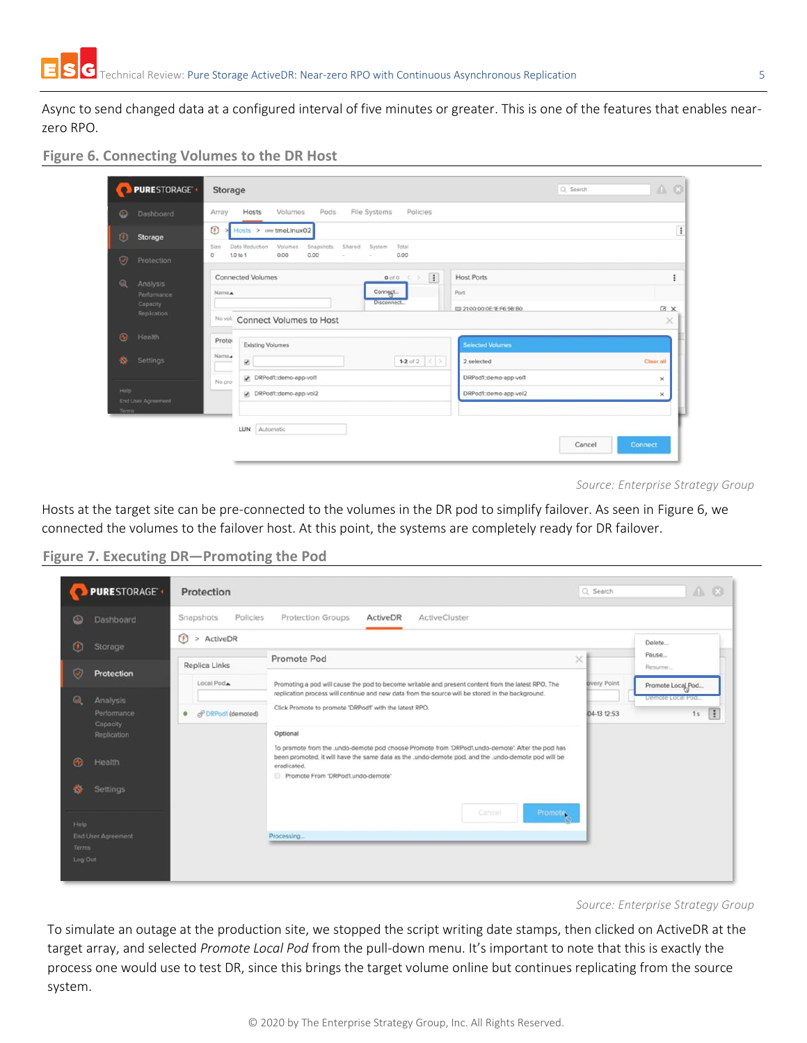Async to send changed data at a configured interval of five minutes or greater. This is one of the features that enables nearzero RPO.

#### <span id="page-4-0"></span>**Figure 6. Connecting Volumes to the DR Host**

| <b>PURESTORAGE<sup>4</sup></b> | Storage                                                                                                                      | Q Search | $A$ $O$        |  |
|--------------------------------|------------------------------------------------------------------------------------------------------------------------------|----------|----------------|--|
| Dashboard<br>◎                 | Pods<br>File Systems<br>Volumes<br>Policies<br>Hosts<br>Array                                                                |          |                |  |
| ®<br>Storage                   | O<br>$Hosts$ > $v = t$ meLinux02<br>Data Reduction                                                                           |          |                |  |
| ø<br>Protection                | Volumes<br>Snapshots<br>Shared<br>System<br>Total<br>Sizo<br>1.0 to 1<br>0.00<br>0.00<br>0.00<br>$\circ$<br>$\sim$<br>$\sim$ |          |                |  |
| $^{\circ}$<br>Analysis         | $\vert$ i<br><b>Connected Volumes</b><br><b>Host Ports</b><br>$0$ of $0$<br>×<br>×                                           |          |                |  |
| Performance                    | Connect<br>Port<br>Name.<br>Disconnect                                                                                       |          |                |  |
| Capacity<br>Replication        | ED 21:00:00:0E:1E:F6:9B:B0<br>No volt Connect Volumes to Host                                                                |          | <b>ZX</b>      |  |
| $\bullet$<br>Health            |                                                                                                                              |          | $\times$       |  |
|                                | Prote<br><b>Existing Volumes</b><br><b>Selected Volumes</b>                                                                  |          |                |  |
| 舂<br>Settings                  | Name.<br>1-2 of 2 $\langle \rangle$<br>2 selected<br>w.                                                                      |          | Clear all      |  |
|                                | DRPod1::demo-app-vol1<br>DRPodf::demo-app-vol1<br>No pro                                                                     |          | ×              |  |
| Help<br>End User Agreement     | DRPod1:demo-app-vol2<br>DRPodf::demo-app-vol2                                                                                |          | ×              |  |
| Terms                          |                                                                                                                              |          |                |  |
|                                | Automatic<br>LUN                                                                                                             |          |                |  |
|                                |                                                                                                                              | Cancel   | <b>Connect</b> |  |

*Source: Enterprise Strategy Group*

Hosts at the target site can be pre-connected to the volumes in the DR pod to simplify failover. As seen in [Figure 6,](#page-4-0) we connected the volumes to the failover host. At this point, the systems are completely ready for DR failover.

**Figure 7. Executing DR—Promoting the Pod**

|                   | PURESTORAGE <sup>®</sup>            | Protection                                 |                                                                                                                                                                                                                                                                         | Q Search            | $A$ $O$                              |
|-------------------|-------------------------------------|--------------------------------------------|-------------------------------------------------------------------------------------------------------------------------------------------------------------------------------------------------------------------------------------------------------------------------|---------------------|--------------------------------------|
| $\circ$           | Dashboard                           | Snapshots<br>Policies                      | ActiveDR<br>Protection Groups<br>ActiveCluster                                                                                                                                                                                                                          |                     |                                      |
| $\left( f\right)$ | Storage                             | $\left( \frac{1}{2} \right)$<br>> ActiveDR |                                                                                                                                                                                                                                                                         |                     | Delete                               |
|                   |                                     | Replica Links                              | Promote Pod                                                                                                                                                                                                                                                             | ×                   | Pause<br>Resume                      |
| Ø                 | Protection                          | Local Pod <sub>A</sub>                     | Promoting a pod will cause the pod to become writable and present content from the latest RPO. The<br>replication process will continue and new data from the source will be stored in the background.                                                                  | <b>B</b> very Point | Promote Local Pod                    |
| @                 | Analysis<br>Performance<br>Capacity | of DRPod1 (demoted)<br>۰                   | Click Promote to promote 'DRPodf' with the latest RPO.                                                                                                                                                                                                                  | 04-13 12:53         | Demote Local Pod-<br>$\vert$ :<br>1s |
| $\mathbf{a}_i$    | Replication<br>Health               |                                            | Optional<br>To promote from the .undo-demote pod choose Promote from 'DRPod1.undo-demote'. After the pod has<br>been promoted, it will have the same data as the .undo-demote pod, and the .undo-demote pod will be<br>eradicated.<br>Promote From 'DRPod'Lundo-demote' |                     |                                      |
| 怸                 | Settings                            |                                            |                                                                                                                                                                                                                                                                         |                     |                                      |
| Help.             |                                     |                                            | Cancel<br>Promote.                                                                                                                                                                                                                                                      |                     |                                      |
| Terms             | <b>End User Agreement</b>           |                                            | Processing                                                                                                                                                                                                                                                              |                     |                                      |
| Log Out           |                                     |                                            |                                                                                                                                                                                                                                                                         |                     |                                      |

To simulate an outage at the production site, we stopped the script writing date stamps, then clicked on ActiveDR at the target array, and selected *Promote Local Pod* from the pull-down menu. It's important to note that this is exactly the process one would use to test DR, since this brings the target volume online but continues replicating from the source system.

*Source: Enterprise Strategy Group*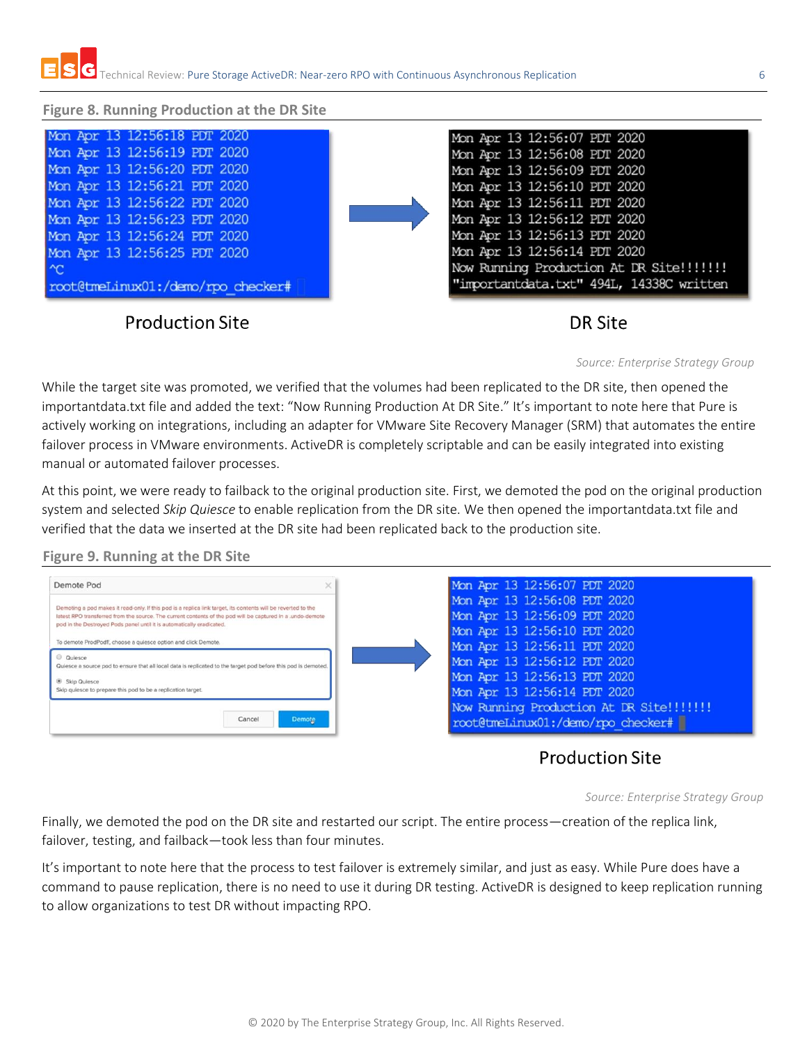#### **Figure 8. Running Production at the DR Site**

| Mon Apr 13 12:56:18 PDT 2020              | Mon Apr 13 12:56:07 PDT 2020             |
|-------------------------------------------|------------------------------------------|
| Mon Apr 13 12:56:19 PDT 2020              | Mon Apr 13 12:56:08 PDT 2020             |
| Mon Apr 13 12:56:20 PDT 2020              | Mon Apr 13 12:56:09 PDT 2020             |
| Mon Apr 13 12:56:21 PDT 2020              | Mon Apr 13 12:56:10 PDT 2020             |
| Mon Apr 13 12:56:22 PDT 2020              | Mon Apr 13 12:56:11 PDT 2020             |
| Mon Apr 13 12:56:23 PDT 2020              | Mon Apr 13 12:56:12 PDT 2020             |
| Mon Apr 13 12:56:24 PDT 2020              | Mon Apr 13 12:56:13 PDT 2020             |
| Mon Apr 13 12:56:25 PDT 2020              | Mon Apr 13 12:56:14 PDT 2020             |
| $\sim$                                    | Now Running Production At DR Site!!!!!!! |
| root@tmeLinux01:/demo/rpo checker#        | "importantdata.txt" 494L, 14338C written |
|                                           |                                          |
| $\sim$ $\sim$ $\sim$ $\sim$ $\sim$ $\sim$ | ----                                     |

# Production Site

# DR Site

*Source: Enterprise Strategy Group*

While the target site was promoted, we verified that the volumes had been replicated to the DR site, then opened the importantdata.txt file and added the text: "Now Running Production At DR Site." It's important to note here that Pure is actively working on integrations, including an adapter for VMware Site Recovery Manager (SRM) that automates the entire failover process in VMware environments. ActiveDR is completely scriptable and can be easily integrated into existing manual or automated failover processes.

At this point, we were ready to failback to the original production site. First, we demoted the pod on the original production system and selected *Skip Quiesce* to enable replication from the DR site. We then opened the importantdata.txt file and verified that the data we inserted at the DR site had been replicated back to the production site.

#### **Figure 9. Running at the DR Site**



# **Production Site**

*Source: Enterprise Strategy Group*

Finally, we demoted the pod on the DR site and restarted our script. The entire process—creation of the replica link, failover, testing, and failback—took less than four minutes.

It's important to note here that the process to test failover is extremely similar, and just as easy. While Pure does have a command to pause replication, there is no need to use it during DR testing. ActiveDR is designed to keep replication running to allow organizations to test DR without impacting RPO.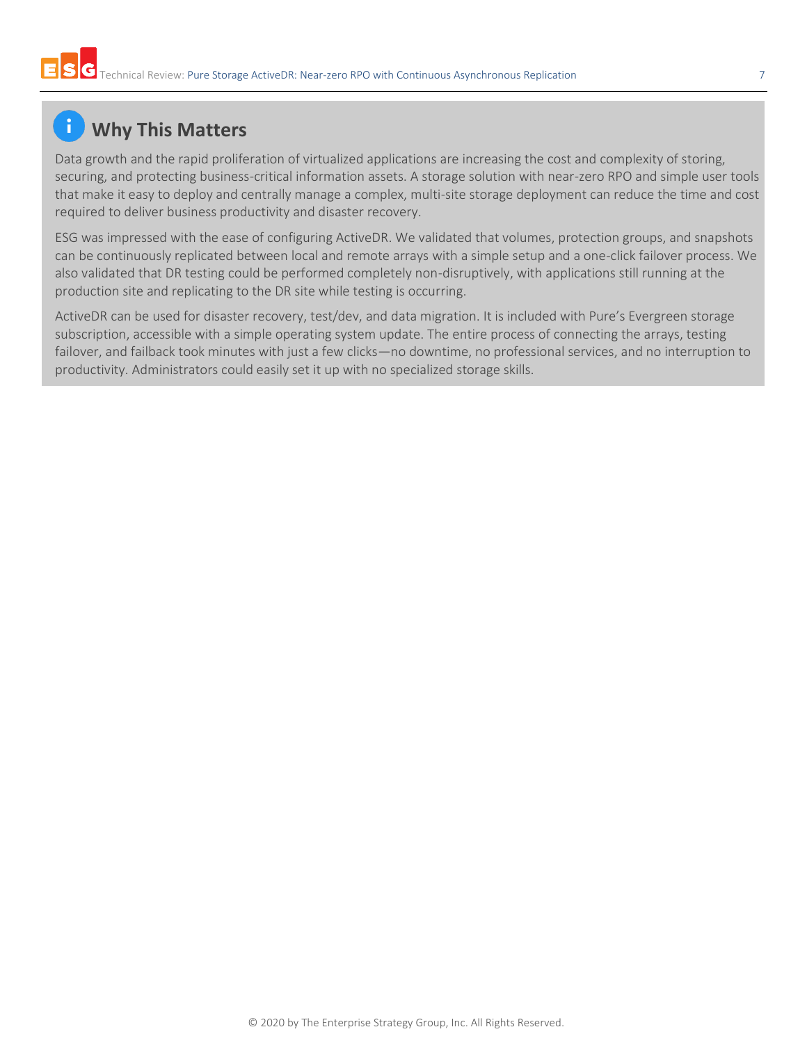# **Why This Matters**

Data growth and the rapid proliferation of virtualized applications are increasing the cost and complexity of storing, securing, and protecting business-critical information assets. A storage solution with near-zero RPO and simple user tools that make it easy to deploy and centrally manage a complex, multi-site storage deployment can reduce the time and cost required to deliver business productivity and disaster recovery.

ESG was impressed with the ease of configuring ActiveDR. We validated that volumes, protection groups, and snapshots can be continuously replicated between local and remote arrays with a simple setup and a one-click failover process. We also validated that DR testing could be performed completely non-disruptively, with applications still running at the production site and replicating to the DR site while testing is occurring.

ActiveDR can be used for disaster recovery, test/dev, and data migration. It is included with Pure's Evergreen storage subscription, accessible with a simple operating system update. The entire process of connecting the arrays, testing failover, and failback took minutes with just a few clicks—no downtime, no professional services, and no interruption to productivity. Administrators could easily set it up with no specialized storage skills.